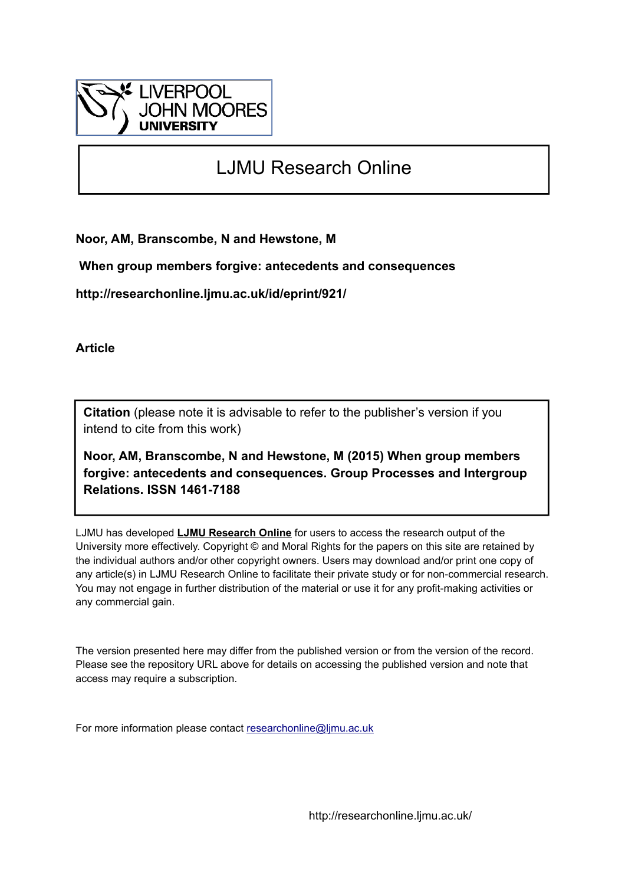

# LJMU Research Online

**Noor, AM, Branscombe, N and Hewstone, M**

 **When group members forgive: antecedents and consequences**

**http://researchonline.ljmu.ac.uk/id/eprint/921/**

**Article**

**Citation** (please note it is advisable to refer to the publisher's version if you intend to cite from this work)

**Noor, AM, Branscombe, N and Hewstone, M (2015) When group members forgive: antecedents and consequences. Group Processes and Intergroup Relations. ISSN 1461-7188** 

LJMU has developed **[LJMU Research Online](http://researchonline.ljmu.ac.uk/)** for users to access the research output of the University more effectively. Copyright © and Moral Rights for the papers on this site are retained by the individual authors and/or other copyright owners. Users may download and/or print one copy of any article(s) in LJMU Research Online to facilitate their private study or for non-commercial research. You may not engage in further distribution of the material or use it for any profit-making activities or any commercial gain.

The version presented here may differ from the published version or from the version of the record. Please see the repository URL above for details on accessing the published version and note that access may require a subscription.

For more information please contact [researchonline@ljmu.ac.uk](mailto:researchonline@ljmu.ac.uk)

http://researchonline.ljmu.ac.uk/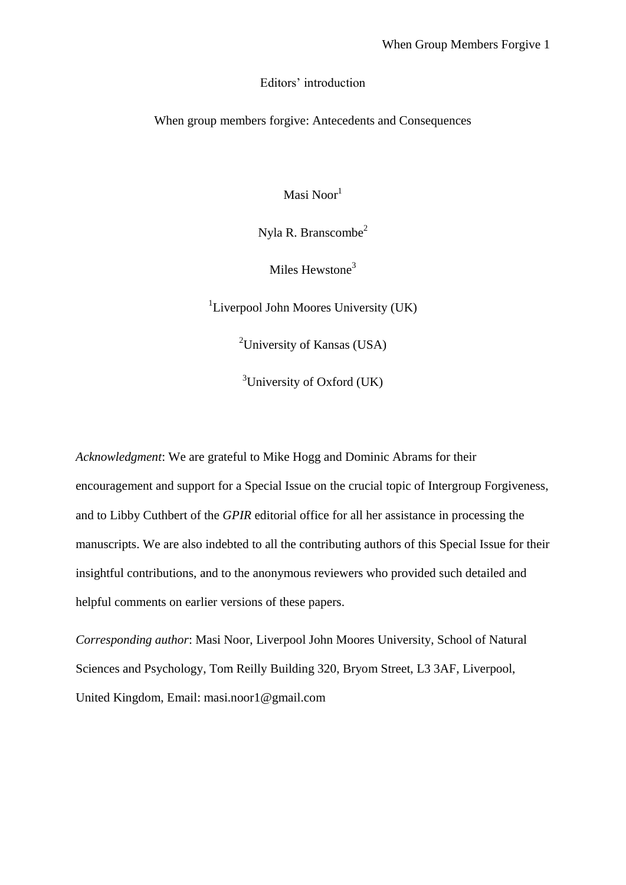## Editors' introduction

When group members forgive: Antecedents and Consequences

Masi Noor<sup>1</sup>

Nyla R. Branscombe<sup>2</sup>

Miles Hewstone<sup>3</sup>

<sup>1</sup>Liverpool John Moores University (UK)

<sup>2</sup>University of Kansas (USA)

<sup>3</sup>University of Oxford (UK)

*Acknowledgment*: We are grateful to Mike Hogg and Dominic Abrams for their encouragement and support for a Special Issue on the crucial topic of Intergroup Forgiveness, and to Libby Cuthbert of the *GPIR* editorial office for all her assistance in processing the manuscripts. We are also indebted to all the contributing authors of this Special Issue for their insightful contributions, and to the anonymous reviewers who provided such detailed and helpful comments on earlier versions of these papers.

*Corresponding author*: Masi Noor, Liverpool John Moores University, School of Natural Sciences and Psychology, Tom Reilly Building 320, Bryom Street, L3 3AF, Liverpool, United Kingdom, Email: masi.noor1@gmail.com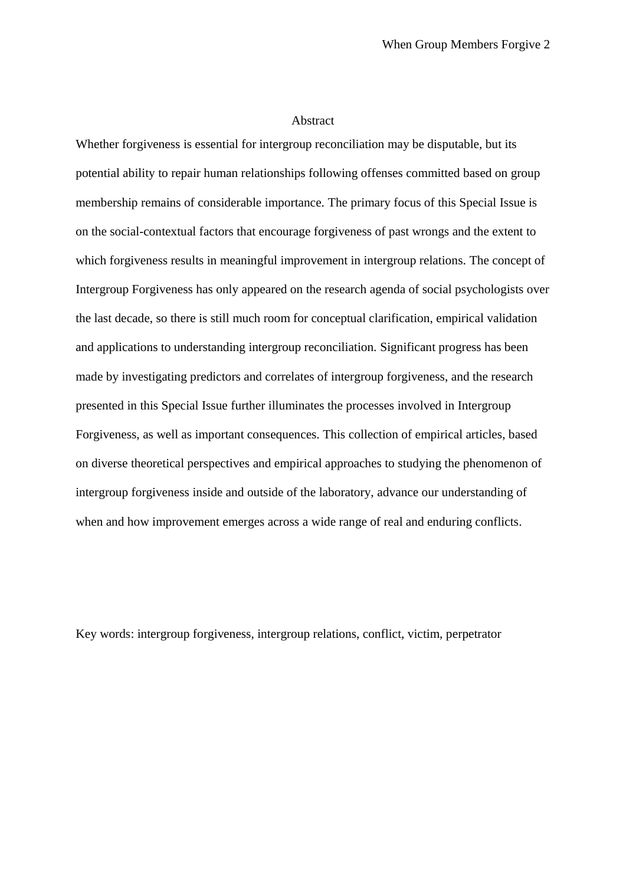### Abstract

Whether forgiveness is essential for intergroup reconciliation may be disputable, but its potential ability to repair human relationships following offenses committed based on group membership remains of considerable importance. The primary focus of this Special Issue is on the social-contextual factors that encourage forgiveness of past wrongs and the extent to which forgiveness results in meaningful improvement in intergroup relations. The concept of Intergroup Forgiveness has only appeared on the research agenda of social psychologists over the last decade, so there is still much room for conceptual clarification, empirical validation and applications to understanding intergroup reconciliation. Significant progress has been made by investigating predictors and correlates of intergroup forgiveness, and the research presented in this Special Issue further illuminates the processes involved in Intergroup Forgiveness, as well as important consequences. This collection of empirical articles, based on diverse theoretical perspectives and empirical approaches to studying the phenomenon of intergroup forgiveness inside and outside of the laboratory, advance our understanding of when and how improvement emerges across a wide range of real and enduring conflicts.

Key words: intergroup forgiveness, intergroup relations, conflict, victim, perpetrator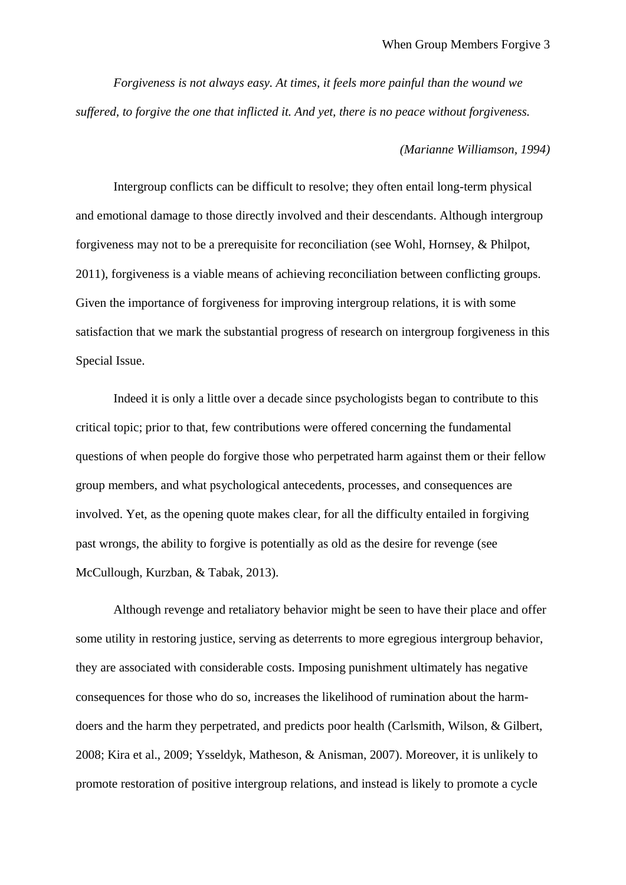*Forgiveness is not always easy. At times, it feels more painful than the wound we suffered, to forgive the one that inflicted it. And yet, there is no peace without forgiveness.*

## *(Marianne Williamson, 1994)*

Intergroup conflicts can be difficult to resolve; they often entail long-term physical and emotional damage to those directly involved and their descendants. Although intergroup forgiveness may not to be a prerequisite for reconciliation (see Wohl, Hornsey, & Philpot, 2011), forgiveness is a viable means of achieving reconciliation between conflicting groups. Given the importance of forgiveness for improving intergroup relations, it is with some satisfaction that we mark the substantial progress of research on intergroup forgiveness in this Special Issue.

Indeed it is only a little over a decade since psychologists began to contribute to this critical topic; prior to that, few contributions were offered concerning the fundamental questions of when people do forgive those who perpetrated harm against them or their fellow group members, and what psychological antecedents, processes, and consequences are involved. Yet, as the opening quote makes clear, for all the difficulty entailed in forgiving past wrongs, the ability to forgive is potentially as old as the desire for revenge (see McCullough, Kurzban, & Tabak, 2013).

Although revenge and retaliatory behavior might be seen to have their place and offer some utility in restoring justice, serving as deterrents to more egregious intergroup behavior, they are associated with considerable costs. Imposing punishment ultimately has negative consequences for those who do so, increases the likelihood of rumination about the harmdoers and the harm they perpetrated, and predicts poor health (Carlsmith, Wilson, & Gilbert, 2008; Kira et al., 2009; Ysseldyk, Matheson, & Anisman, 2007). Moreover, it is unlikely to promote restoration of positive intergroup relations, and instead is likely to promote a cycle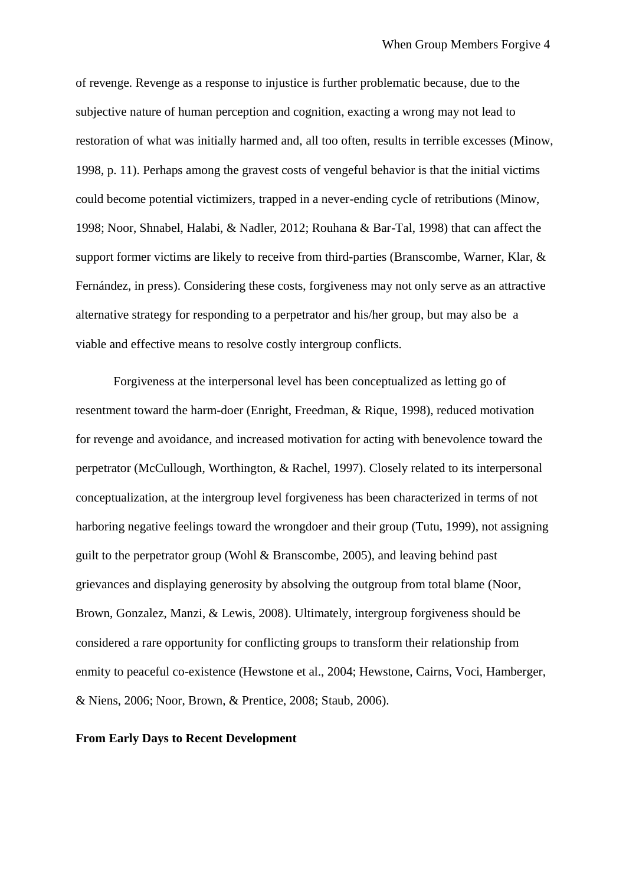of revenge. Revenge as a response to injustice is further problematic because, due to the subjective nature of human perception and cognition, exacting a wrong may not lead to restoration of what was initially harmed and, all too often, results in terrible excesses (Minow, 1998, p. 11). Perhaps among the gravest costs of vengeful behavior is that the initial victims could become potential victimizers, trapped in a never-ending cycle of retributions (Minow, 1998; Noor, Shnabel, Halabi, & Nadler, 2012; Rouhana & Bar-Tal, 1998) that can affect the support former victims are likely to receive from third-parties (Branscombe, Warner, Klar, & Fernández, in press). Considering these costs, forgiveness may not only serve as an attractive alternative strategy for responding to a perpetrator and his/her group, but may also be a viable and effective means to resolve costly intergroup conflicts.

Forgiveness at the interpersonal level has been conceptualized as letting go of resentment toward the harm-doer (Enright, Freedman, & Rique, 1998), reduced motivation for revenge and avoidance, and increased motivation for acting with benevolence toward the perpetrator (McCullough, Worthington, & Rachel, 1997). Closely related to its interpersonal conceptualization, at the intergroup level forgiveness has been characterized in terms of not harboring negative feelings toward the wrongdoer and their group (Tutu, 1999), not assigning guilt to the perpetrator group (Wohl & Branscombe, 2005), and leaving behind past grievances and displaying generosity by absolving the outgroup from total blame (Noor, Brown, Gonzalez, Manzi, & Lewis, 2008). Ultimately, intergroup forgiveness should be considered a rare opportunity for conflicting groups to transform their relationship from enmity to peaceful co-existence (Hewstone et al., 2004; Hewstone, Cairns, Voci, Hamberger, & Niens, 2006; Noor, Brown, & Prentice, 2008; Staub, 2006).

#### **From Early Days to Recent Development**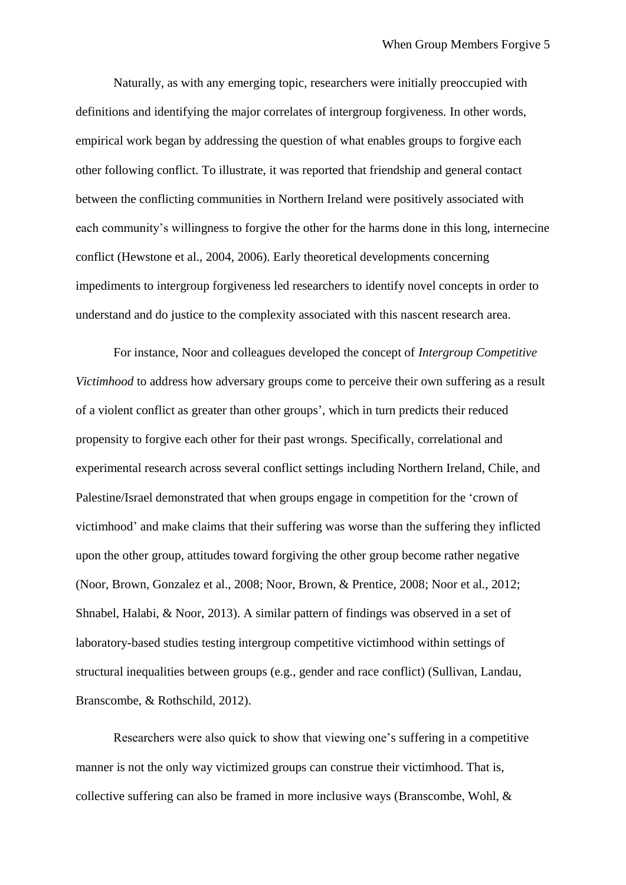Naturally, as with any emerging topic, researchers were initially preoccupied with definitions and identifying the major correlates of intergroup forgiveness. In other words, empirical work began by addressing the question of what enables groups to forgive each other following conflict. To illustrate, it was reported that friendship and general contact between the conflicting communities in Northern Ireland were positively associated with each community's willingness to forgive the other for the harms done in this long, internecine conflict (Hewstone et al., 2004, 2006). Early theoretical developments concerning impediments to intergroup forgiveness led researchers to identify novel concepts in order to understand and do justice to the complexity associated with this nascent research area.

For instance, Noor and colleagues developed the concept of *Intergroup Competitive Victimhood* to address how adversary groups come to perceive their own suffering as a result of a violent conflict as greater than other groups', which in turn predicts their reduced propensity to forgive each other for their past wrongs. Specifically, correlational and experimental research across several conflict settings including Northern Ireland, Chile, and Palestine/Israel demonstrated that when groups engage in competition for the 'crown of victimhood' and make claims that their suffering was worse than the suffering they inflicted upon the other group, attitudes toward forgiving the other group become rather negative (Noor, Brown, Gonzalez et al., 2008; Noor, Brown, & Prentice, 2008; Noor et al., 2012; Shnabel, Halabi, & Noor, 2013). A similar pattern of findings was observed in a set of laboratory-based studies testing intergroup competitive victimhood within settings of structural inequalities between groups (e.g., gender and race conflict) (Sullivan, Landau, Branscombe, & Rothschild, 2012).

Researchers were also quick to show that viewing one's suffering in a competitive manner is not the only way victimized groups can construe their victimhood. That is, collective suffering can also be framed in more inclusive ways (Branscombe, Wohl, &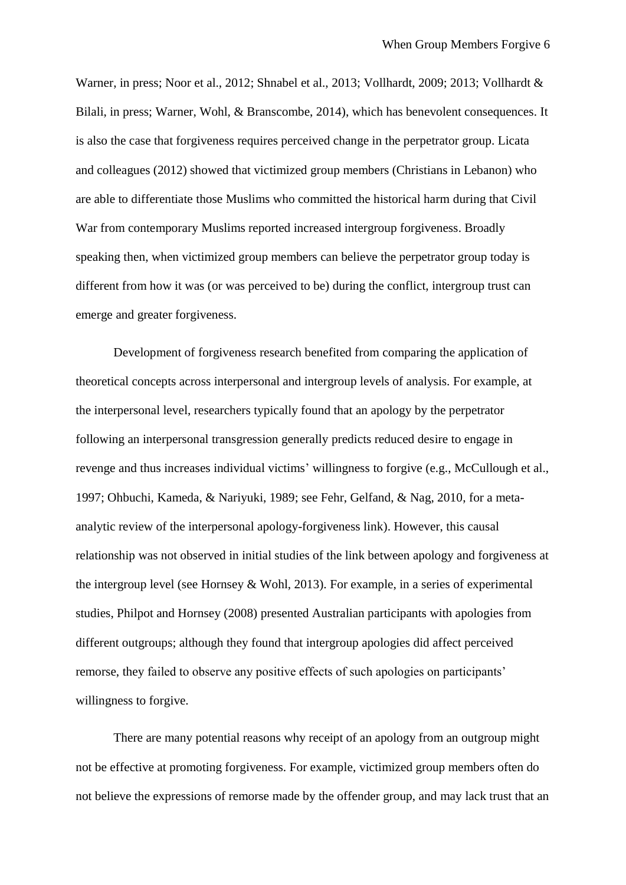Warner, in press; Noor et al., 2012; Shnabel et al., 2013; Vollhardt, 2009; 2013; Vollhardt & Bilali, in press; Warner, Wohl, & Branscombe, 2014), which has benevolent consequences. It is also the case that forgiveness requires perceived change in the perpetrator group. Licata and colleagues (2012) showed that victimized group members (Christians in Lebanon) who are able to differentiate those Muslims who committed the historical harm during that Civil War from contemporary Muslims reported increased intergroup forgiveness. Broadly speaking then, when victimized group members can believe the perpetrator group today is different from how it was (or was perceived to be) during the conflict, intergroup trust can emerge and greater forgiveness.

Development of forgiveness research benefited from comparing the application of theoretical concepts across interpersonal and intergroup levels of analysis. For example, at the interpersonal level, researchers typically found that an apology by the perpetrator following an interpersonal transgression generally predicts reduced desire to engage in revenge and thus increases individual victims' willingness to forgive (e.g., McCullough et al., 1997; Ohbuchi, Kameda, & Nariyuki, 1989; see Fehr, Gelfand, & Nag, 2010, for a metaanalytic review of the interpersonal apology-forgiveness link). However, this causal relationship was not observed in initial studies of the link between apology and forgiveness at the intergroup level (see Hornsey & Wohl, 2013). For example, in a series of experimental studies, Philpot and Hornsey (2008) presented Australian participants with apologies from different outgroups; although they found that intergroup apologies did affect perceived remorse, they failed to observe any positive effects of such apologies on participants' willingness to forgive.

There are many potential reasons why receipt of an apology from an outgroup might not be effective at promoting forgiveness. For example, victimized group members often do not believe the expressions of remorse made by the offender group, and may lack trust that an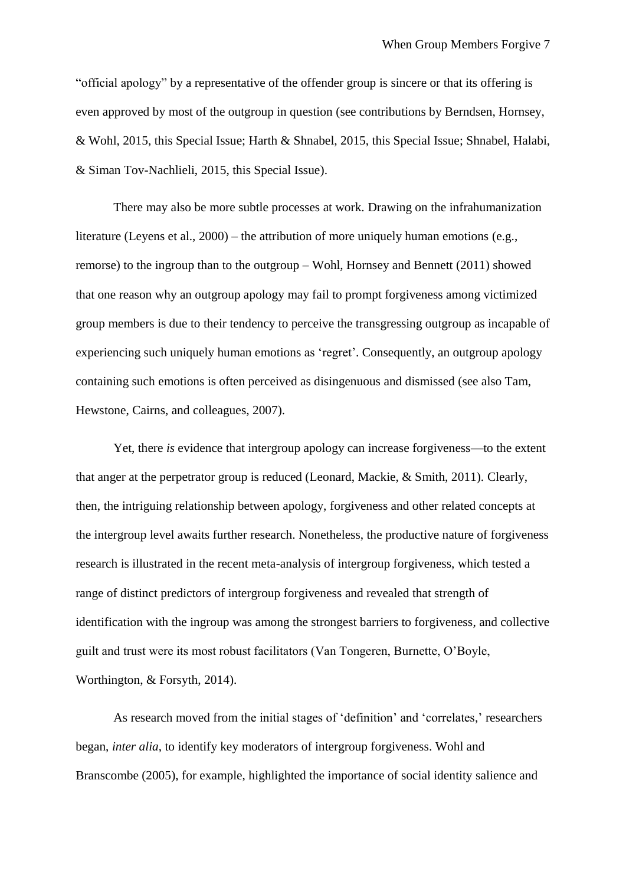"official apology" by a representative of the offender group is sincere or that its offering is even approved by most of the outgroup in question (see contributions by Berndsen, Hornsey, & Wohl, 2015, this Special Issue; Harth & Shnabel, 2015, this Special Issue; Shnabel, Halabi, & Siman Tov-Nachlieli, 2015, this Special Issue).

There may also be more subtle processes at work. Drawing on the infrahumanization literature (Leyens et al., 2000) – the attribution of more uniquely human emotions (e.g., remorse) to the ingroup than to the outgroup – Wohl, Hornsey and Bennett (2011) showed that one reason why an outgroup apology may fail to prompt forgiveness among victimized group members is due to their tendency to perceive the transgressing outgroup as incapable of experiencing such uniquely human emotions as 'regret'. Consequently, an outgroup apology containing such emotions is often perceived as disingenuous and dismissed (see also Tam, Hewstone, Cairns, and colleagues, 2007).

Yet, there *is* evidence that intergroup apology can increase forgiveness—to the extent that anger at the perpetrator group is reduced (Leonard, Mackie, & Smith, 2011). Clearly, then, the intriguing relationship between apology, forgiveness and other related concepts at the intergroup level awaits further research. Nonetheless, the productive nature of forgiveness research is illustrated in the recent meta-analysis of intergroup forgiveness, which tested a range of distinct predictors of intergroup forgiveness and revealed that strength of identification with the ingroup was among the strongest barriers to forgiveness, and collective guilt and trust were its most robust facilitators (Van Tongeren, Burnette, O'Boyle, Worthington, & Forsyth, 2014).

As research moved from the initial stages of 'definition' and 'correlates,' researchers began, *inter alia*, to identify key moderators of intergroup forgiveness. Wohl and Branscombe (2005), for example, highlighted the importance of social identity salience and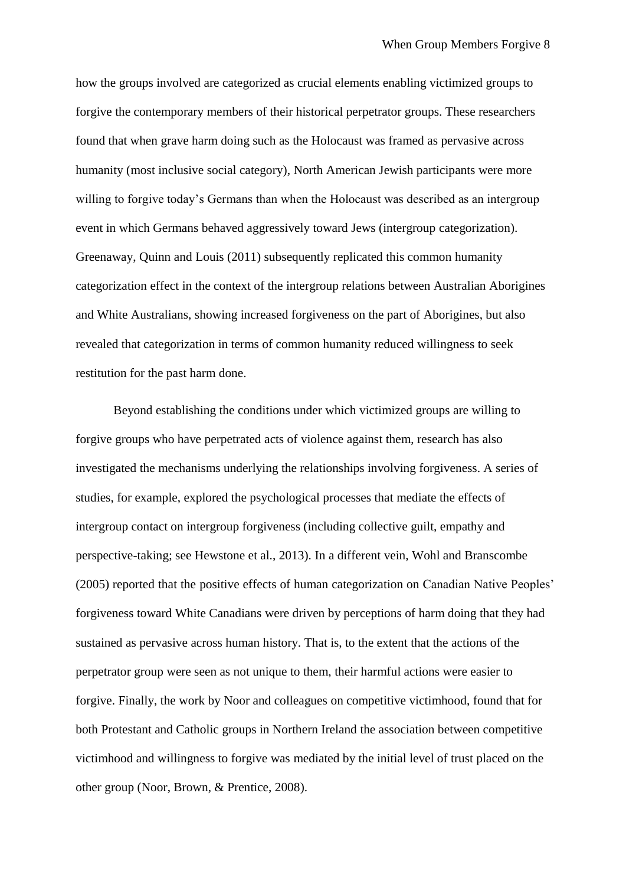how the groups involved are categorized as crucial elements enabling victimized groups to forgive the contemporary members of their historical perpetrator groups. These researchers found that when grave harm doing such as the Holocaust was framed as pervasive across humanity (most inclusive social category), North American Jewish participants were more willing to forgive today's Germans than when the Holocaust was described as an intergroup event in which Germans behaved aggressively toward Jews (intergroup categorization). Greenaway, Quinn and Louis (2011) subsequently replicated this common humanity categorization effect in the context of the intergroup relations between Australian Aborigines and White Australians, showing increased forgiveness on the part of Aborigines, but also revealed that categorization in terms of common humanity reduced willingness to seek restitution for the past harm done.

Beyond establishing the conditions under which victimized groups are willing to forgive groups who have perpetrated acts of violence against them, research has also investigated the mechanisms underlying the relationships involving forgiveness. A series of studies, for example, explored the psychological processes that mediate the effects of intergroup contact on intergroup forgiveness (including collective guilt, empathy and perspective-taking; see Hewstone et al., 2013). In a different vein, Wohl and Branscombe (2005) reported that the positive effects of human categorization on Canadian Native Peoples' forgiveness toward White Canadians were driven by perceptions of harm doing that they had sustained as pervasive across human history. That is, to the extent that the actions of the perpetrator group were seen as not unique to them, their harmful actions were easier to forgive. Finally, the work by Noor and colleagues on competitive victimhood, found that for both Protestant and Catholic groups in Northern Ireland the association between competitive victimhood and willingness to forgive was mediated by the initial level of trust placed on the other group (Noor, Brown, & Prentice, 2008).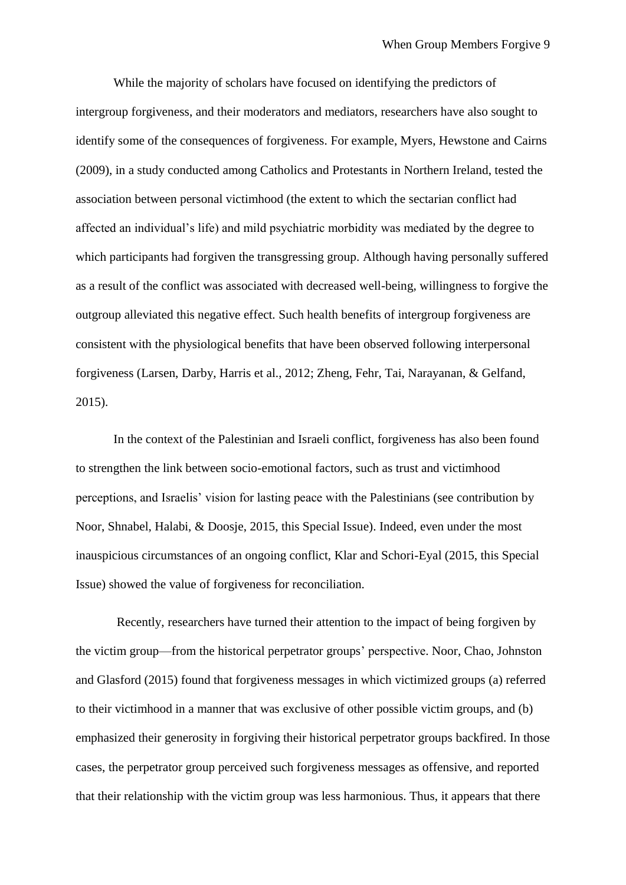While the majority of scholars have focused on identifying the predictors of intergroup forgiveness, and their moderators and mediators, researchers have also sought to identify some of the consequences of forgiveness. For example, Myers, Hewstone and Cairns (2009), in a study conducted among Catholics and Protestants in Northern Ireland, tested the association between personal victimhood (the extent to which the sectarian conflict had affected an individual's life) and mild psychiatric morbidity was mediated by the degree to which participants had forgiven the transgressing group. Although having personally suffered as a result of the conflict was associated with decreased well-being, willingness to forgive the outgroup alleviated this negative effect. Such health benefits of intergroup forgiveness are consistent with the physiological benefits that have been observed following interpersonal forgiveness (Larsen, Darby, Harris et al., 2012; Zheng, Fehr, Tai, Narayanan, & Gelfand, 2015).

In the context of the Palestinian and Israeli conflict, forgiveness has also been found to strengthen the link between socio-emotional factors, such as trust and victimhood perceptions, and Israelis' vision for lasting peace with the Palestinians (see contribution by Noor, Shnabel, Halabi, & Doosje, 2015, this Special Issue). Indeed, even under the most inauspicious circumstances of an ongoing conflict, Klar and Schori-Eyal (2015, this Special Issue) showed the value of forgiveness for reconciliation.

Recently, researchers have turned their attention to the impact of being forgiven by the victim group—from the historical perpetrator groups' perspective. Noor, Chao, Johnston and Glasford (2015) found that forgiveness messages in which victimized groups (a) referred to their victimhood in a manner that was exclusive of other possible victim groups, and (b) emphasized their generosity in forgiving their historical perpetrator groups backfired. In those cases, the perpetrator group perceived such forgiveness messages as offensive, and reported that their relationship with the victim group was less harmonious. Thus, it appears that there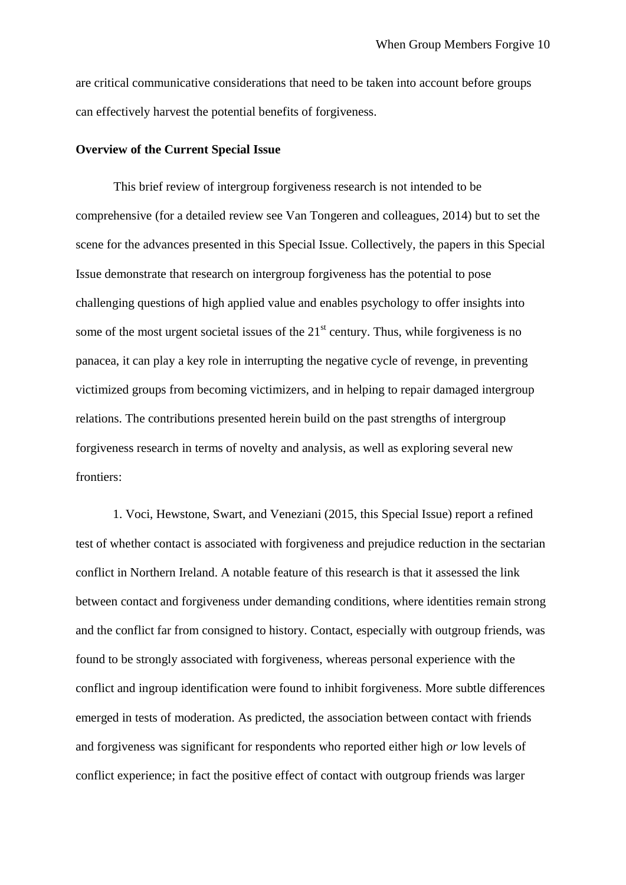are critical communicative considerations that need to be taken into account before groups can effectively harvest the potential benefits of forgiveness.

## **Overview of the Current Special Issue**

This brief review of intergroup forgiveness research is not intended to be comprehensive (for a detailed review see Van Tongeren and colleagues, 2014) but to set the scene for the advances presented in this Special Issue. Collectively, the papers in this Special Issue demonstrate that research on intergroup forgiveness has the potential to pose challenging questions of high applied value and enables psychology to offer insights into some of the most urgent societal issues of the  $21<sup>st</sup>$  century. Thus, while forgiveness is no panacea, it can play a key role in interrupting the negative cycle of revenge, in preventing victimized groups from becoming victimizers, and in helping to repair damaged intergroup relations. The contributions presented herein build on the past strengths of intergroup forgiveness research in terms of novelty and analysis, as well as exploring several new frontiers:

1. Voci, Hewstone, Swart, and Veneziani (2015, this Special Issue) report a refined test of whether contact is associated with forgiveness and prejudice reduction in the sectarian conflict in Northern Ireland. A notable feature of this research is that it assessed the link between contact and forgiveness under demanding conditions, where identities remain strong and the conflict far from consigned to history. Contact, especially with outgroup friends, was found to be strongly associated with forgiveness, whereas personal experience with the conflict and ingroup identification were found to inhibit forgiveness. More subtle differences emerged in tests of moderation. As predicted, the association between contact with friends and forgiveness was significant for respondents who reported either high *or* low levels of conflict experience; in fact the positive effect of contact with outgroup friends was larger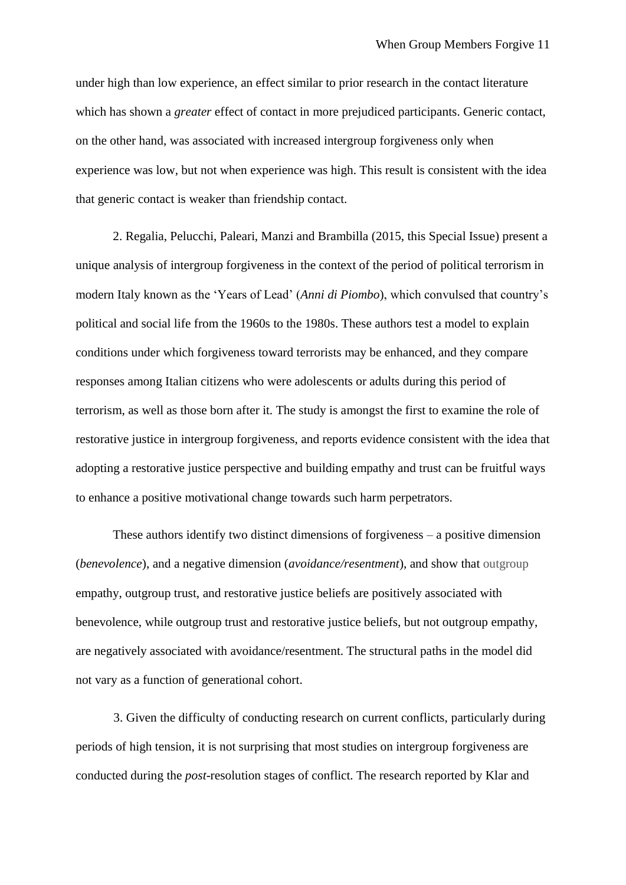under high than low experience, an effect similar to prior research in the contact literature which has shown a *greater* effect of contact in more prejudiced participants. Generic contact, on the other hand, was associated with increased intergroup forgiveness only when experience was low, but not when experience was high. This result is consistent with the idea that generic contact is weaker than friendship contact.

2. Regalia, Pelucchi, Paleari, Manzi and Brambilla (2015, this Special Issue) present a unique analysis of intergroup forgiveness in the context of the period of political terrorism in modern Italy known as the 'Years of Lead' (*Anni di Piombo*), which convulsed that country's political and social life from the 1960s to the 1980s. These authors test a model to explain conditions under which forgiveness toward terrorists may be enhanced, and they compare responses among Italian citizens who were adolescents or adults during this period of terrorism, as well as those born after it. The study is amongst the first to examine the role of restorative justice in intergroup forgiveness, and reports evidence consistent with the idea that adopting a restorative justice perspective and building empathy and trust can be fruitful ways to enhance a positive motivational change towards such harm perpetrators.

These authors identify two distinct dimensions of forgiveness – a positive dimension (*benevolence*), and a negative dimension (*avoidance/resentment*), and show that outgroup empathy, outgroup trust, and restorative justice beliefs are positively associated with benevolence, while outgroup trust and restorative justice beliefs, but not outgroup empathy, are negatively associated with avoidance/resentment. The structural paths in the model did not vary as a function of generational cohort.

3. Given the difficulty of conducting research on current conflicts, particularly during periods of high tension, it is not surprising that most studies on intergroup forgiveness are conducted during the *post*-resolution stages of conflict. The research reported by Klar and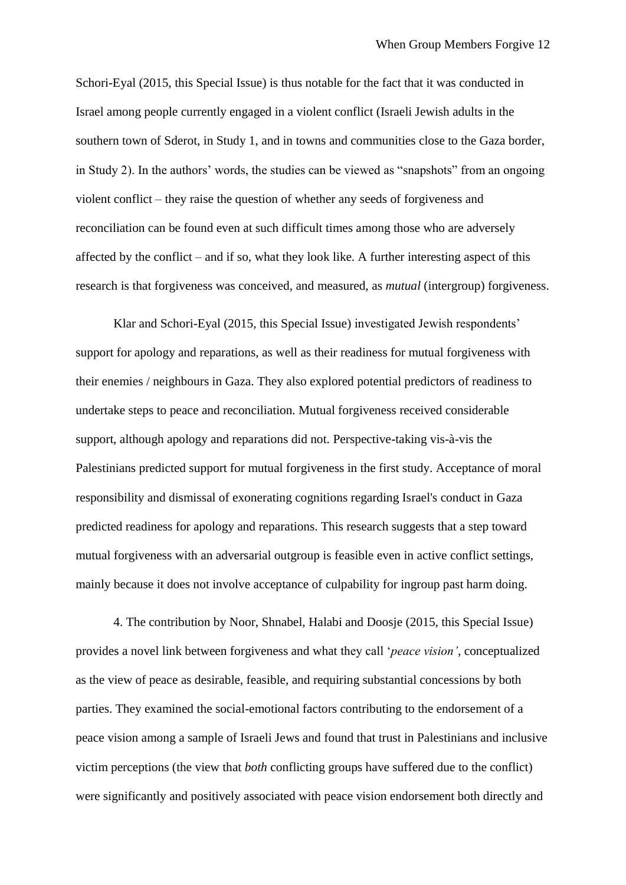Schori-Eyal (2015, this Special Issue) is thus notable for the fact that it was conducted in Israel among people currently engaged in a violent conflict (Israeli Jewish adults in the southern town of Sderot, in Study 1, and in towns and communities close to the Gaza border, in Study 2). In the authors' words, the studies can be viewed as "snapshots" from an ongoing violent conflict – they raise the question of whether any seeds of forgiveness and reconciliation can be found even at such difficult times among those who are adversely affected by the conflict – and if so, what they look like. A further interesting aspect of this research is that forgiveness was conceived, and measured, as *mutual* (intergroup) forgiveness.

Klar and Schori-Eyal (2015, this Special Issue) investigated Jewish respondents' support for apology and reparations, as well as their readiness for mutual forgiveness with their enemies / neighbours in Gaza. They also explored potential predictors of readiness to undertake steps to peace and reconciliation. Mutual forgiveness received considerable support, although apology and reparations did not. Perspective-taking vis-à-vis the Palestinians predicted support for mutual forgiveness in the first study. Acceptance of moral responsibility and dismissal of exonerating cognitions regarding Israel's conduct in Gaza predicted readiness for apology and reparations. This research suggests that a step toward mutual forgiveness with an adversarial outgroup is feasible even in active conflict settings, mainly because it does not involve acceptance of culpability for ingroup past harm doing.

4. The contribution by Noor, Shnabel, Halabi and Doosje (2015, this Special Issue) provides a novel link between forgiveness and what they call '*peace vision'*, conceptualized as the view of peace as desirable, feasible, and requiring substantial concessions by both parties. They examined the social-emotional factors contributing to the endorsement of a peace vision among a sample of Israeli Jews and found that trust in Palestinians and inclusive victim perceptions (the view that *both* conflicting groups have suffered due to the conflict) were significantly and positively associated with peace vision endorsement both directly and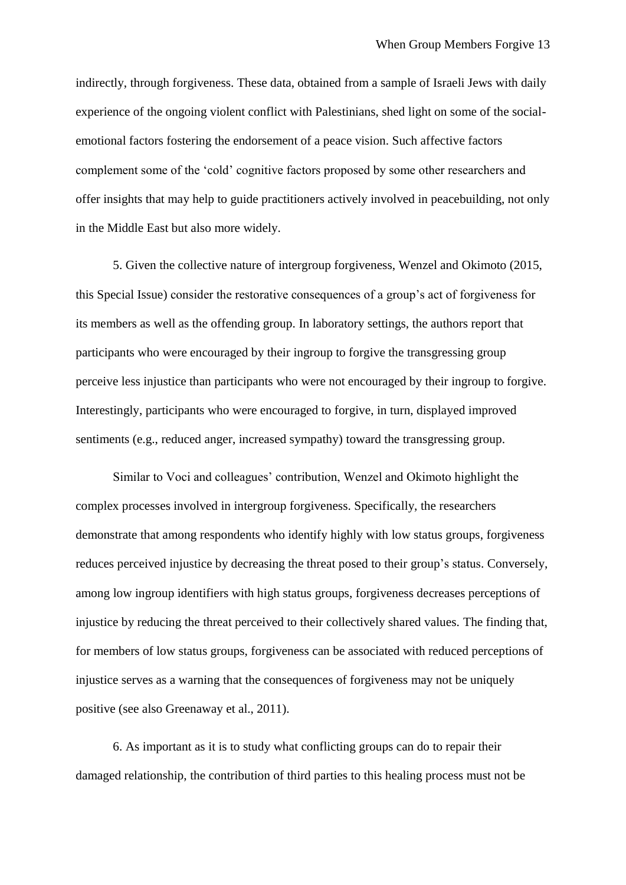indirectly, through forgiveness. These data, obtained from a sample of Israeli Jews with daily experience of the ongoing violent conflict with Palestinians, shed light on some of the socialemotional factors fostering the endorsement of a peace vision. Such affective factors complement some of the 'cold' cognitive factors proposed by some other researchers and offer insights that may help to guide practitioners actively involved in peacebuilding, not only in the Middle East but also more widely.

5. Given the collective nature of intergroup forgiveness, Wenzel and Okimoto (2015, this Special Issue) consider the restorative consequences of a group's act of forgiveness for its members as well as the offending group. In laboratory settings, the authors report that participants who were encouraged by their ingroup to forgive the transgressing group perceive less injustice than participants who were not encouraged by their ingroup to forgive. Interestingly, participants who were encouraged to forgive, in turn, displayed improved sentiments (e.g., reduced anger, increased sympathy) toward the transgressing group.

Similar to Voci and colleagues' contribution, Wenzel and Okimoto highlight the complex processes involved in intergroup forgiveness. Specifically, the researchers demonstrate that among respondents who identify highly with low status groups, forgiveness reduces perceived injustice by decreasing the threat posed to their group's status. Conversely, among low ingroup identifiers with high status groups, forgiveness decreases perceptions of injustice by reducing the threat perceived to their collectively shared values. The finding that, for members of low status groups, forgiveness can be associated with reduced perceptions of injustice serves as a warning that the consequences of forgiveness may not be uniquely positive (see also Greenaway et al., 2011).

6. As important as it is to study what conflicting groups can do to repair their damaged relationship, the contribution of third parties to this healing process must not be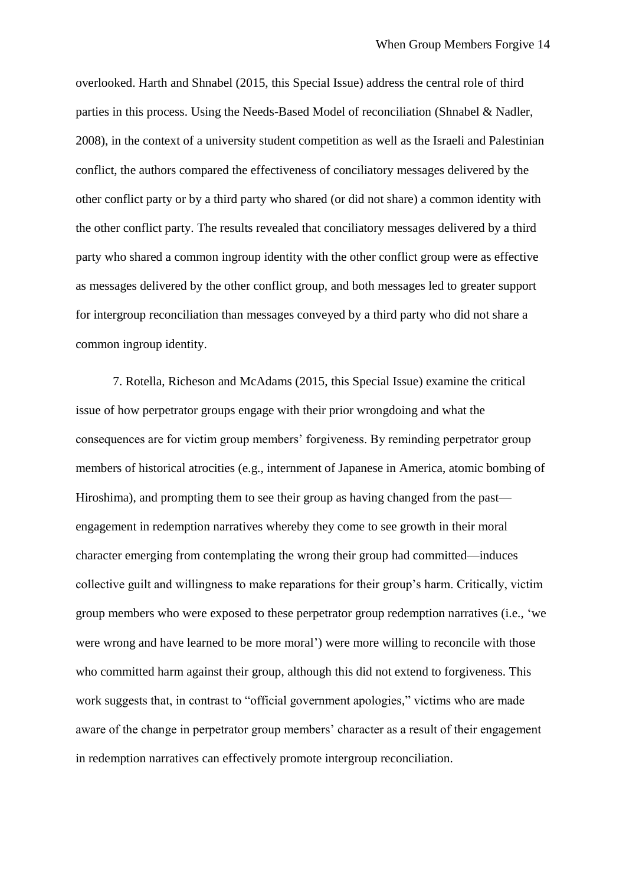overlooked. Harth and Shnabel (2015, this Special Issue) address the central role of third parties in this process. Using the Needs-Based Model of reconciliation (Shnabel & Nadler, 2008), in the context of a university student competition as well as the Israeli and Palestinian conflict, the authors compared the effectiveness of conciliatory messages delivered by the other conflict party or by a third party who shared (or did not share) a common identity with the other conflict party. The results revealed that conciliatory messages delivered by a third party who shared a common ingroup identity with the other conflict group were as effective as messages delivered by the other conflict group, and both messages led to greater support for intergroup reconciliation than messages conveyed by a third party who did not share a common ingroup identity.

7. Rotella, Richeson and McAdams (2015, this Special Issue) examine the critical issue of how perpetrator groups engage with their prior wrongdoing and what the consequences are for victim group members' forgiveness. By reminding perpetrator group members of historical atrocities (e.g., internment of Japanese in America, atomic bombing of Hiroshima), and prompting them to see their group as having changed from the past engagement in redemption narratives whereby they come to see growth in their moral character emerging from contemplating the wrong their group had committed—induces collective guilt and willingness to make reparations for their group's harm. Critically, victim group members who were exposed to these perpetrator group redemption narratives (i.e., 'we were wrong and have learned to be more moral') were more willing to reconcile with those who committed harm against their group, although this did not extend to forgiveness. This work suggests that, in contrast to "official government apologies," victims who are made aware of the change in perpetrator group members' character as a result of their engagement in redemption narratives can effectively promote intergroup reconciliation.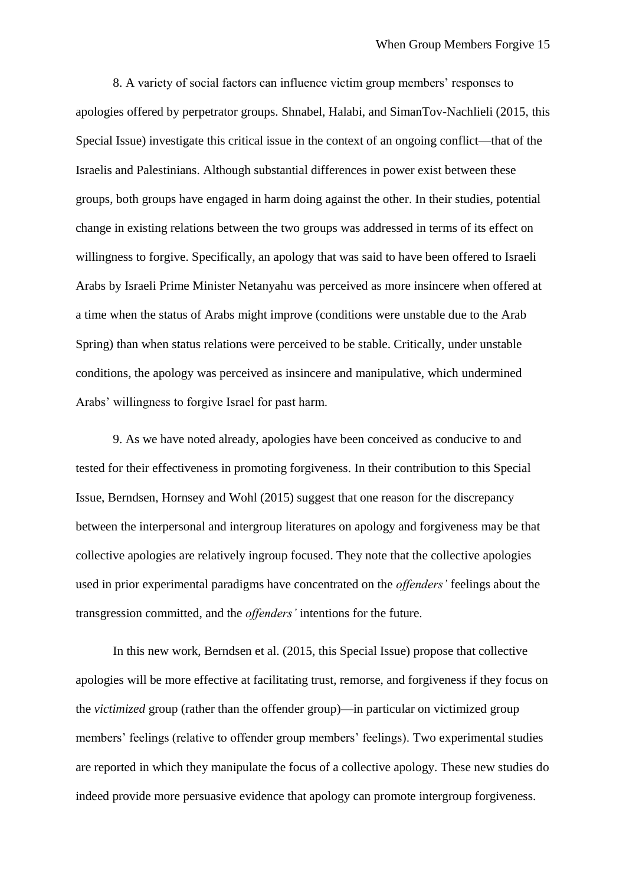8. A variety of social factors can influence victim group members' responses to apologies offered by perpetrator groups. Shnabel, Halabi, and SimanTov-Nachlieli (2015, this Special Issue) investigate this critical issue in the context of an ongoing conflict—that of the Israelis and Palestinians. Although substantial differences in power exist between these groups, both groups have engaged in harm doing against the other. In their studies, potential change in existing relations between the two groups was addressed in terms of its effect on willingness to forgive. Specifically, an apology that was said to have been offered to Israeli Arabs by Israeli Prime Minister Netanyahu was perceived as more insincere when offered at a time when the status of Arabs might improve (conditions were unstable due to the Arab Spring) than when status relations were perceived to be stable. Critically, under unstable conditions, the apology was perceived as insincere and manipulative, which undermined Arabs' willingness to forgive Israel for past harm.

9. As we have noted already, apologies have been conceived as conducive to and tested for their effectiveness in promoting forgiveness. In their contribution to this Special Issue, Berndsen, Hornsey and Wohl (2015) suggest that one reason for the discrepancy between the interpersonal and intergroup literatures on apology and forgiveness may be that collective apologies are relatively ingroup focused. They note that the collective apologies used in prior experimental paradigms have concentrated on the *offenders'* feelings about the transgression committed, and the *offenders'* intentions for the future.

In this new work, Berndsen et al. (2015, this Special Issue) propose that collective apologies will be more effective at facilitating trust, remorse, and forgiveness if they focus on the *victimized* group (rather than the offender group)—in particular on victimized group members' feelings (relative to offender group members' feelings). Two experimental studies are reported in which they manipulate the focus of a collective apology. These new studies do indeed provide more persuasive evidence that apology can promote intergroup forgiveness.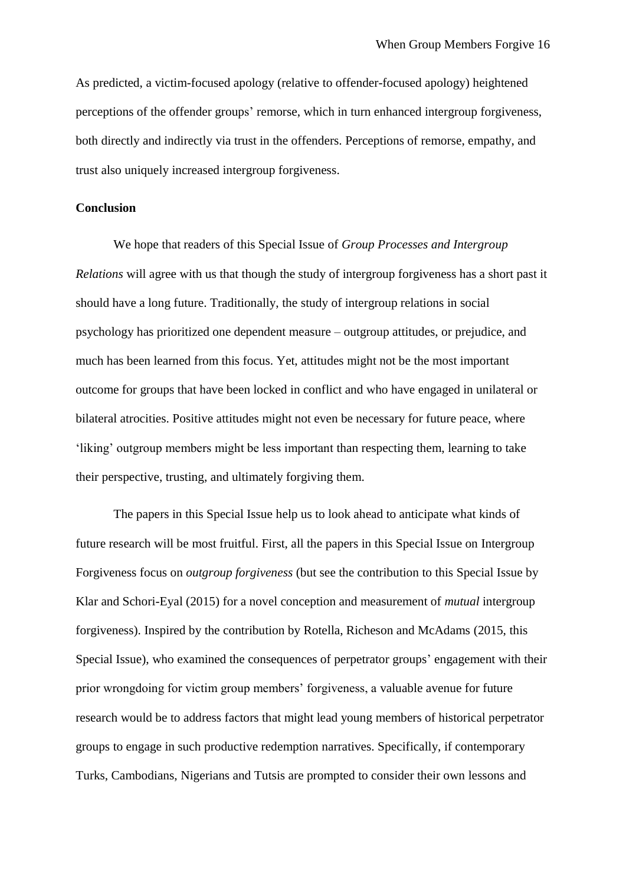As predicted, a victim-focused apology (relative to offender-focused apology) heightened perceptions of the offender groups' remorse, which in turn enhanced intergroup forgiveness, both directly and indirectly via trust in the offenders. Perceptions of remorse, empathy, and trust also uniquely increased intergroup forgiveness.

## **Conclusion**

We hope that readers of this Special Issue of *Group Processes and Intergroup Relations* will agree with us that though the study of intergroup forgiveness has a short past it should have a long future. Traditionally, the study of intergroup relations in social psychology has prioritized one dependent measure – outgroup attitudes, or prejudice, and much has been learned from this focus. Yet, attitudes might not be the most important outcome for groups that have been locked in conflict and who have engaged in unilateral or bilateral atrocities. Positive attitudes might not even be necessary for future peace, where 'liking' outgroup members might be less important than respecting them, learning to take their perspective, trusting, and ultimately forgiving them.

The papers in this Special Issue help us to look ahead to anticipate what kinds of future research will be most fruitful. First, all the papers in this Special Issue on Intergroup Forgiveness focus on *outgroup forgiveness* (but see the contribution to this Special Issue by Klar and Schori-Eyal (2015) for a novel conception and measurement of *mutual* intergroup forgiveness). Inspired by the contribution by Rotella, Richeson and McAdams (2015, this Special Issue), who examined the consequences of perpetrator groups' engagement with their prior wrongdoing for victim group members' forgiveness, a valuable avenue for future research would be to address factors that might lead young members of historical perpetrator groups to engage in such productive redemption narratives. Specifically, if contemporary Turks, Cambodians, Nigerians and Tutsis are prompted to consider their own lessons and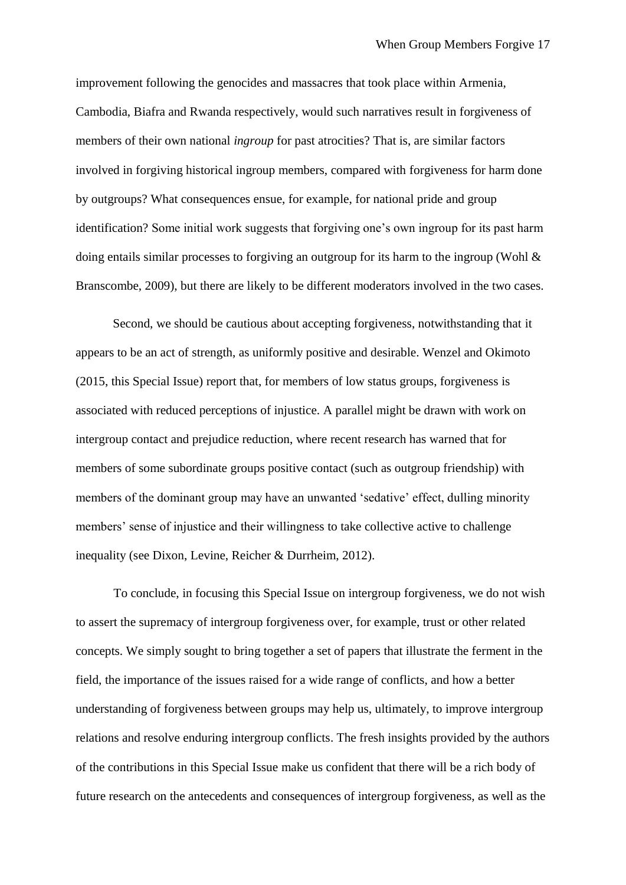improvement following the genocides and massacres that took place within Armenia, Cambodia, Biafra and Rwanda respectively, would such narratives result in forgiveness of members of their own national *ingroup* for past atrocities? That is, are similar factors involved in forgiving historical ingroup members, compared with forgiveness for harm done by outgroups? What consequences ensue, for example, for national pride and group identification? Some initial work suggests that forgiving one's own ingroup for its past harm doing entails similar processes to forgiving an outgroup for its harm to the ingroup (Wohl & Branscombe, 2009), but there are likely to be different moderators involved in the two cases.

Second, we should be cautious about accepting forgiveness, notwithstanding that it appears to be an act of strength, as uniformly positive and desirable. Wenzel and Okimoto (2015, this Special Issue) report that, for members of low status groups, forgiveness is associated with reduced perceptions of injustice. A parallel might be drawn with work on intergroup contact and prejudice reduction, where recent research has warned that for members of some subordinate groups positive contact (such as outgroup friendship) with members of the dominant group may have an unwanted 'sedative' effect, dulling minority members' sense of injustice and their willingness to take collective active to challenge inequality (see Dixon, Levine, Reicher & Durrheim, 2012).

To conclude, in focusing this Special Issue on intergroup forgiveness, we do not wish to assert the supremacy of intergroup forgiveness over, for example, trust or other related concepts. We simply sought to bring together a set of papers that illustrate the ferment in the field, the importance of the issues raised for a wide range of conflicts, and how a better understanding of forgiveness between groups may help us, ultimately, to improve intergroup relations and resolve enduring intergroup conflicts. The fresh insights provided by the authors of the contributions in this Special Issue make us confident that there will be a rich body of future research on the antecedents and consequences of intergroup forgiveness, as well as the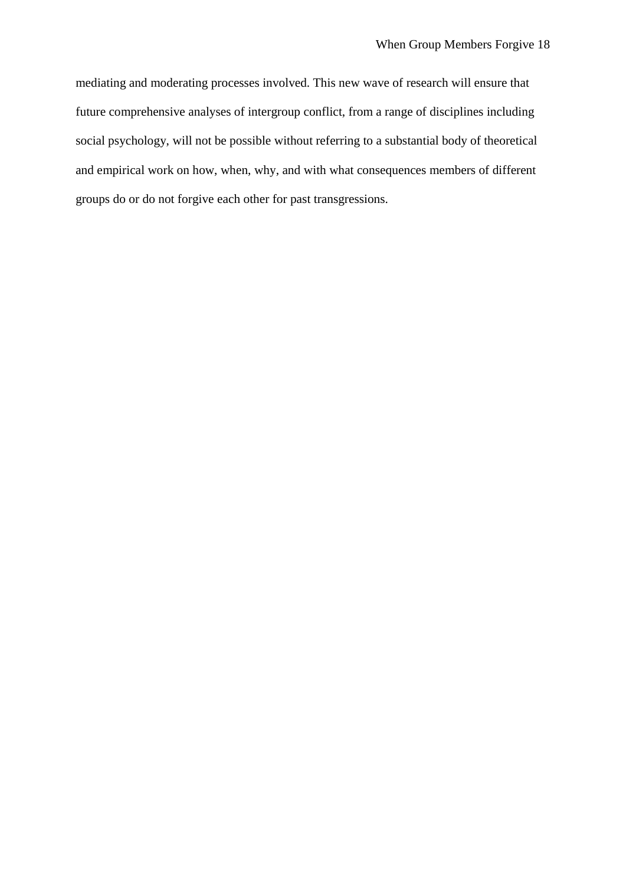mediating and moderating processes involved. This new wave of research will ensure that future comprehensive analyses of intergroup conflict, from a range of disciplines including social psychology, will not be possible without referring to a substantial body of theoretical and empirical work on how, when, why, and with what consequences members of different groups do or do not forgive each other for past transgressions.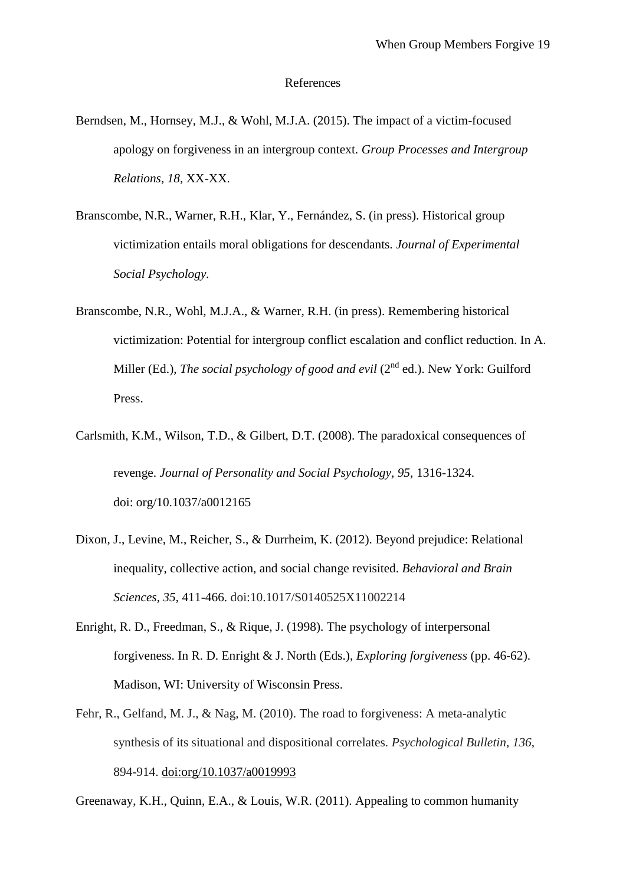#### References

- Berndsen, M., Hornsey, M.J., & Wohl, M.J.A. (2015). The impact of a victim-focused apology on forgiveness in an intergroup context. *Group Processes and Intergroup Relations, 18,* XX-XX.
- Branscombe, N.R., Warner, R.H., Klar, Y., Fernández, S. (in press). Historical group victimization entails moral obligations for descendants. *Journal of Experimental Social Psychology.*
- Branscombe, N.R., Wohl, M.J.A., & Warner, R.H. (in press). Remembering historical victimization: Potential for intergroup conflict escalation and conflict reduction. In A. Miller (Ed.), *The social psychology of good and evil* (2<sup>nd</sup> ed.). New York: Guilford Press.
- Carlsmith, K.M., Wilson, T.D., & Gilbert, D.T. (2008). The paradoxical consequences of revenge. *Journal of Personality and Social Psychology, 95,* 1316-1324. doi: [org/10.1037/a0012165](file:///C:/Users/T.Sayers/Downloads/doi.org/10.1037/a0012165)
- Dixon, J., Levine, M., Reicher, S., & Durrheim, K. (2012). Beyond prejudice: Relational inequality, collective action, and social change revisited. *Behavioral and Brain Sciences, 35*, 411-466. doi:10.1017/S0140525X11002214
- Enright, R. D., Freedman, S., & Rique, J. (1998). The psychology of interpersonal forgiveness. In R. D. Enright & J. North (Eds.), *Exploring forgiveness* (pp. 46-62). Madison, WI: University of Wisconsin Press.
- Fehr, R., Gelfand, M. J., & Nag, M. (2010). The road to forgiveness: A meta-analytic synthesis of its situational and dispositional correlates. *Psychological Bulletin*, *136*, 894-914. [doi:org/10.1037/a0019993](http://psycnet.apa.org/doi/10.1037/a0019993)

Greenaway, K.H., Quinn, E.A., & Louis, W.R. (2011). Appealing to common humanity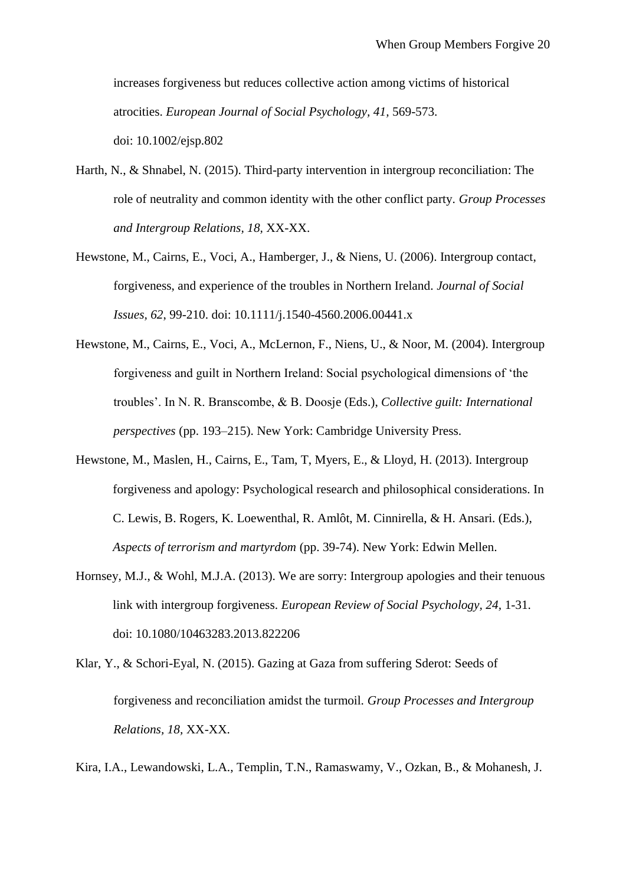increases forgiveness but reduces collective action among victims of historical atrocities. *European Journal of Social Psychology, 41,* 569-573. doi: 10.1002/ejsp.802

- Harth, N., & Shnabel, N. (2015). Third-party intervention in intergroup reconciliation: The role of neutrality and common identity with the other conflict party. *Group Processes and Intergroup Relations, 18,* XX-XX.
- Hewstone, M., Cairns, E., Voci, A., Hamberger, J., & Niens, U. (2006). Intergroup contact, forgiveness, and experience of the troubles in Northern Ireland. *Journal of Social Issues, 62*, 99-210. doi: 10.1111/j.1540-4560.2006.00441.x
- Hewstone, M., Cairns, E., Voci, A., McLernon, F., Niens, U., & Noor, M. (2004). Intergroup forgiveness and guilt in Northern Ireland: Social psychological dimensions of 'the troubles'. In N. R. Branscombe, & B. Doosje (Eds.), *Collective guilt: International perspectives* (pp. 193–215). New York: Cambridge University Press.
- Hewstone, M., Maslen, H., Cairns, E., Tam, T, Myers, E., & Lloyd, H. (2013). Intergroup forgiveness and apology: Psychological research and philosophical considerations. In C. Lewis, B. Rogers, K. Loewenthal, R. Amlôt, M. Cinnirella, & H. Ansari. (Eds.), *Aspects of terrorism and martyrdom* (pp. 39-74). New York: Edwin Mellen.
- Hornsey, M.J., & Wohl, M.J.A. (2013). We are sorry: Intergroup apologies and their tenuous link with intergroup forgiveness. *European Review of Social Psychology, 24,* 1-31. doi: 10.1080/10463283.2013.822206
- Klar, Y., & Schori-Eyal, N. (2015). Gazing at Gaza from suffering Sderot: Seeds of forgiveness and reconciliation amidst the turmoil. *Group Processes and Intergroup Relations, 18,* XX-XX.

Kira, I.A., Lewandowski, L.A., Templin, T.N., Ramaswamy, V., Ozkan, B., & Mohanesh, J.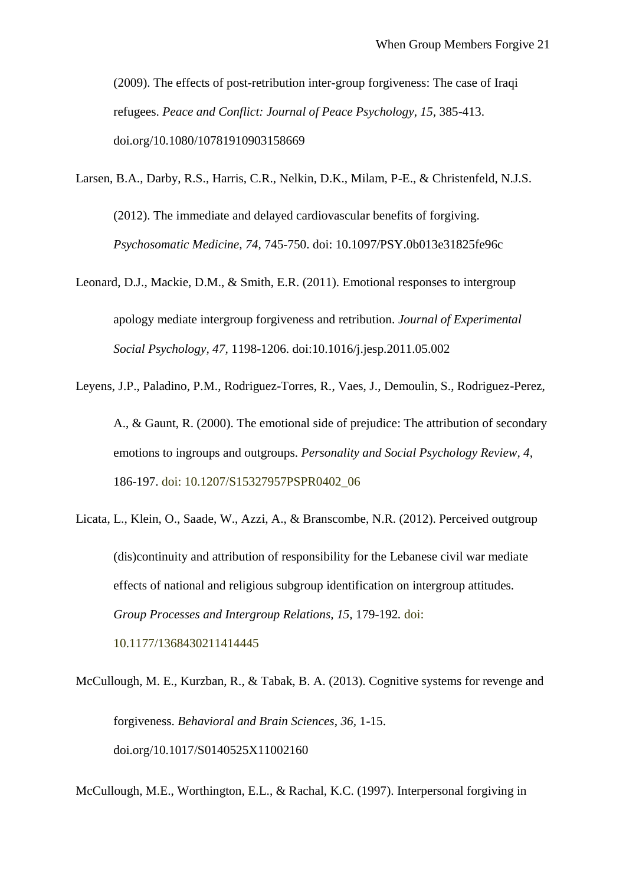(2009). The effects of post-retribution inter-group forgiveness: The case of Iraqi refugees. *Peace and Conflict: Journal of Peace Psychology, 15,* 385-413. doi.org/10.1080/10781910903158669

Larsen, B.A., Darby, R.S., Harris, C.R., Nelkin, D.K., Milam, P-E., & Christenfeld, N.J.S. (2012). The immediate and delayed cardiovascular benefits of forgiving. *Psychosomatic Medicine, 74,* 745-750. doi: 10.1097/PSY.0b013e31825fe96c

Leonard, D.J., Mackie, D.M., & Smith, E.R. (2011). Emotional responses to intergroup apology mediate intergroup forgiveness and retribution. *Journal of Experimental Social Psychology, 47,* 1198-1206. doi:10.1016/j.jesp.2011.05.002

Leyens, J.P., Paladino, P.M., Rodriguez-Torres, R., Vaes, J., Demoulin, S., Rodriguez-Perez, A., & Gaunt, R. (2000). The emotional side of prejudice: The attribution of secondary emotions to ingroups and outgroups. *Personality and Social Psychology Review, 4,*  186-197. doi: 10.1207/S15327957PSPR0402\_06

Licata, L., Klein, O., Saade, W., Azzi, A., & Branscombe, N.R. (2012). Perceived outgroup (dis)continuity and attribution of responsibility for the Lebanese civil war mediate effects of national and religious subgroup identification on intergroup attitudes. *Group Processes and Intergroup Relations, 15,* 179-192*.* doi: 10.1177/1368430211414445

McCullough, M. E., Kurzban, R., & Tabak, B. A. (2013). Cognitive systems for revenge and forgiveness. *Behavioral and Brain Sciences*, *36,* 1-15. [doi.org/10.1017/S0140525X11002160](http://dx.doi.org/10.1017/S0140525X11002160)

McCullough, M.E., Worthington, E.L., & Rachal, K.C. (1997). Interpersonal forgiving in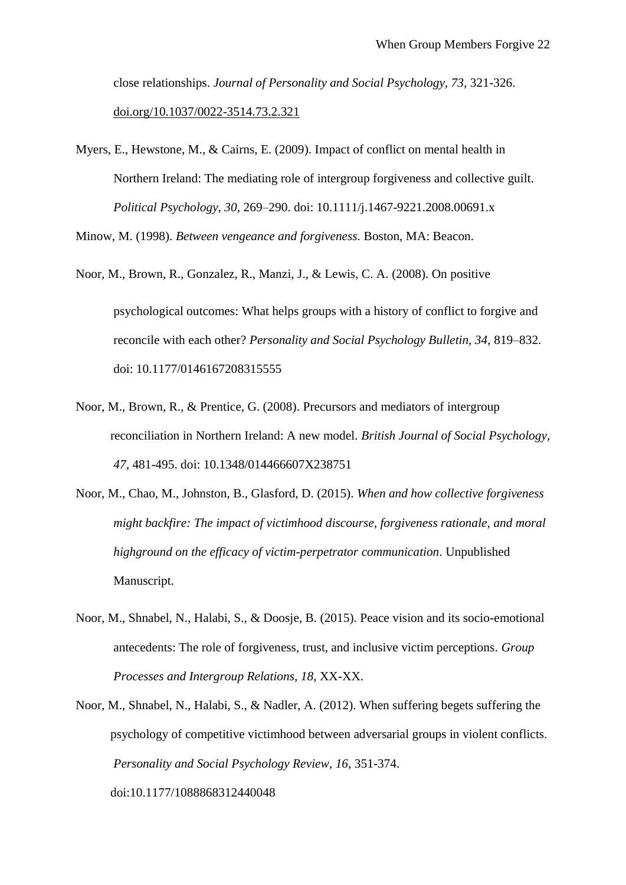close relationships. *Journal of Personality and Social Psychology, 73,* 321-326. [doi.org/10.1037/0022-3514.73.2.321](http://psycnet.apa.org/doi/10.1037/0022-3514.73.2.321)

Myers, E., Hewstone, M., & Cairns, E. (2009). Impact of conflict on mental health in Northern Ireland: The mediating role of intergroup forgiveness and collective guilt. *Political Psychology, 30*, 269–290. doi: 10.1111/j.1467-9221.2008.00691.x

Minow, M. (1998). *Between vengeance and forgiveness.* Boston, MA: Beacon.

- Noor, M., Brown, R., Gonzalez, R., Manzi, J., & Lewis, C. A. (2008). On positive psychological outcomes: What helps groups with a history of conflict to forgive and reconcile with each other? *Personality and Social Psychology Bulletin, 34*, 819–832. doi: 10.1177/0146167208315555
- Noor, M., Brown, R., & Prentice, G. (2008). Precursors and mediators of intergroup reconciliation in Northern Ireland: A new model. *British Journal of Social Psychology, 47,* 481-495. doi: 10.1348/014466607X238751
- Noor, M., Chao, M., Johnston, B., Glasford, D. (2015). *When and how collective forgiveness might backfire: The impact of victimhood discourse, forgiveness rationale, and moral highground on the efficacy of victim-perpetrator communication*. Unpublished Manuscript.
- Noor, M., Shnabel, N., Halabi, S., & Doosje, B. (2015). Peace vision and its socio-emotional antecedents: The role of forgiveness, trust, and inclusive victim perceptions. *Group Processes and Intergroup Relations, 18,* XX-XX.
- Noor, M., Shnabel, N., Halabi, S., & Nadler, A. (2012). When suffering begets suffering the psychology of competitive victimhood between adversarial groups in violent conflicts. *Personality and Social Psychology Review*, *16*, 351-374.

doi:10.1177/1088868312440048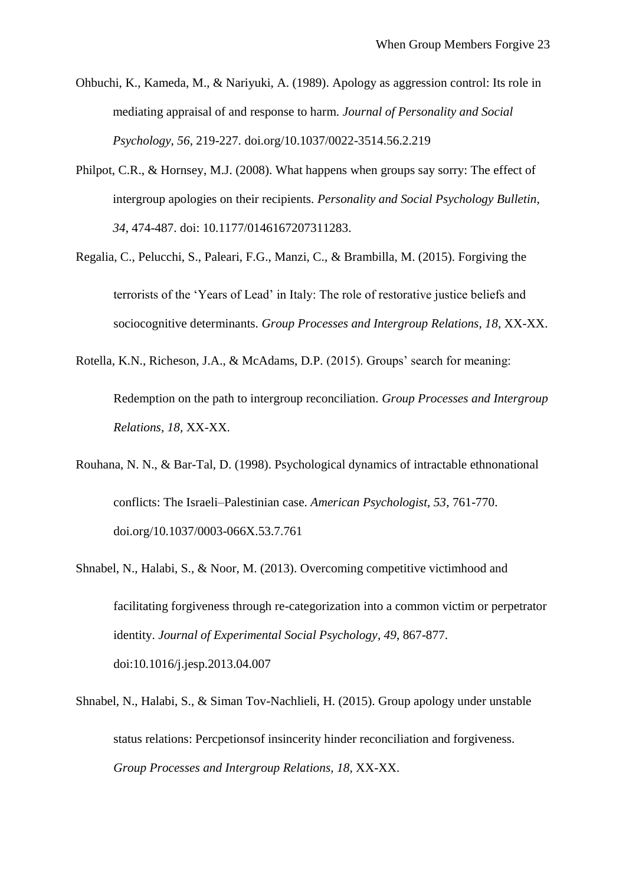- Ohbuchi, K., Kameda, M., & Nariyuki, A. (1989). Apology as aggression control: Its role in mediating appraisal of and response to harm. *Journal of Personality and Social Psychology, 56,* 219-227. [doi.org/10.1037/0022-3514.56.2.219](http://psycnet.apa.org/doi/10.1037/0022-3514.56.2.219)
- Philpot, C.R., & Hornsey, M.J. (2008). What happens when groups say sorry: The effect of intergroup apologies on their recipients. *Personality and Social Psychology Bulletin, 34*, 474-487. doi: 10.1177/0146167207311283.
- Regalia, C., Pelucchi, S., Paleari, F.G., Manzi, C., & Brambilla, M. (2015). Forgiving the terrorists of the 'Years of Lead' in Italy: The role of restorative justice beliefs and sociocognitive determinants. *Group Processes and Intergroup Relations, 18,* XX-XX.
- Rotella, K.N., Richeson, J.A., & McAdams, D.P. (2015). Groups' search for meaning:

Redemption on the path to intergroup reconciliation. *Group Processes and Intergroup Relations, 18,* XX-XX.

- Rouhana, N. N., & Bar-Tal, D. (1998). Psychological dynamics of intractable ethnonational conflicts: The Israeli–Palestinian case. *American Psychologist, 53*, 761-770. [doi.org/10.1037/0003-066X.53.7.761](http://psycnet.apa.org/doi/10.1037/0003-066X.53.7.761)
- Shnabel, N., Halabi, S., & Noor, M. (2013). Overcoming competitive victimhood and facilitating forgiveness through re-categorization into a common victim or perpetrator identity. *Journal of Experimental Social Psychology*, *49*, 867-877. [doi:10.1016/j.jesp.2013.04.007](http://dx.doi.org/10.1016/j.jesp.2013.04.007)
- Shnabel, N., Halabi, S., & Siman Tov-Nachlieli, H. (2015). Group apology under unstable status relations: Percpetionsof insincerity hinder reconciliation and forgiveness. *Group Processes and Intergroup Relations, 18,* XX-XX.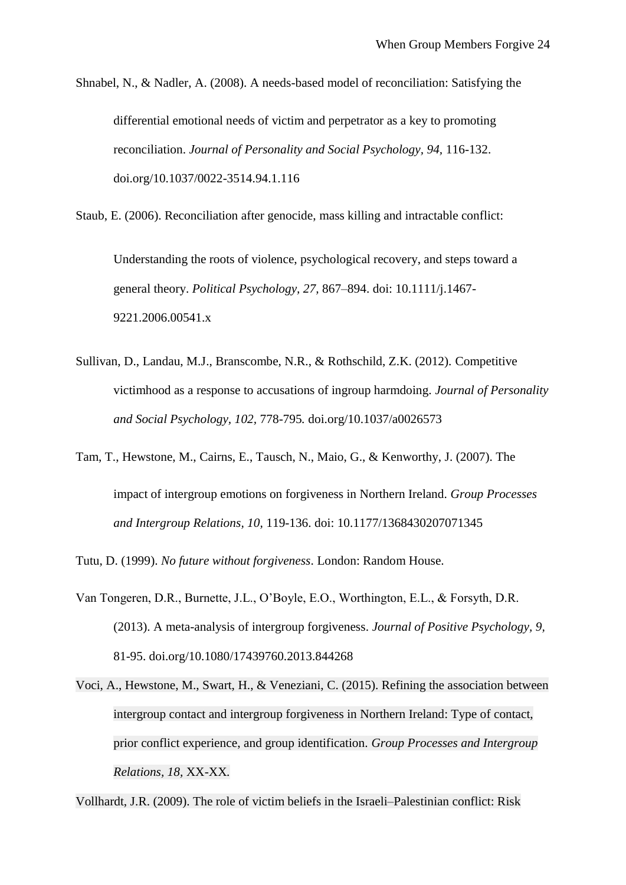Shnabel, N., & Nadler, A. (2008). A needs-based model of reconciliation: Satisfying the differential emotional needs of victim and perpetrator as a key to promoting reconciliation. *Journal of Personality and Social Psychology, 94,* 116-132. [doi.org/10.1037/0022-3514.94.1.116](http://psycnet.apa.org/doi/10.1037/0022-3514.94.1.116)

Staub, E. (2006). Reconciliation after genocide, mass killing and intractable conflict:

Understanding the roots of violence, psychological recovery, and steps toward a general theory. *Political Psychology, 27,* 867–894. doi: 10.1111/j.1467- 9221.2006.00541.x

- Sullivan, D., Landau, M.J., Branscombe, N.R., & Rothschild, Z.K. (2012). Competitive victimhood as a response to accusations of ingroup harmdoing. *Journal of Personality and Social Psychology, 102,* 778-795*.* [doi.org/10.1037/a0026573](http://psycnet.apa.org/doi/10.1037/a0026573)
- Tam, T., Hewstone, M., Cairns, E., Tausch, N., Maio, G., & Kenworthy, J. (2007). The impact of intergroup emotions on forgiveness in Northern Ireland. *Group Processes and Intergroup Relations, 10,* 119-136. doi: 10.1177/1368430207071345

Tutu, D. (1999). *No future without forgiveness*. London: Random House.

- Van Tongeren, D.R., Burnette, J.L., O'Boyle, E.O., Worthington, E.L., & Forsyth, D.R. (2013). A meta-analysis of intergroup forgiveness. *Journal of Positive Psychology, 9,*  81-95. [doi.org/10.1080/17439760.2013.844268](file:///C:/Users/T.Sayers/Downloads/doi.org/10.1080/17439760.2013.844268)
- Voci, A., Hewstone, M., Swart, H., & Veneziani, C. (2015). Refining the association between intergroup contact and intergroup forgiveness in Northern Ireland: Type of contact, prior conflict experience, and group identification. *Group Processes and Intergroup Relations, 18,* XX-XX*.*

Vollhardt, J.R. (2009). The role of victim beliefs in the Israeli–Palestinian conflict: Risk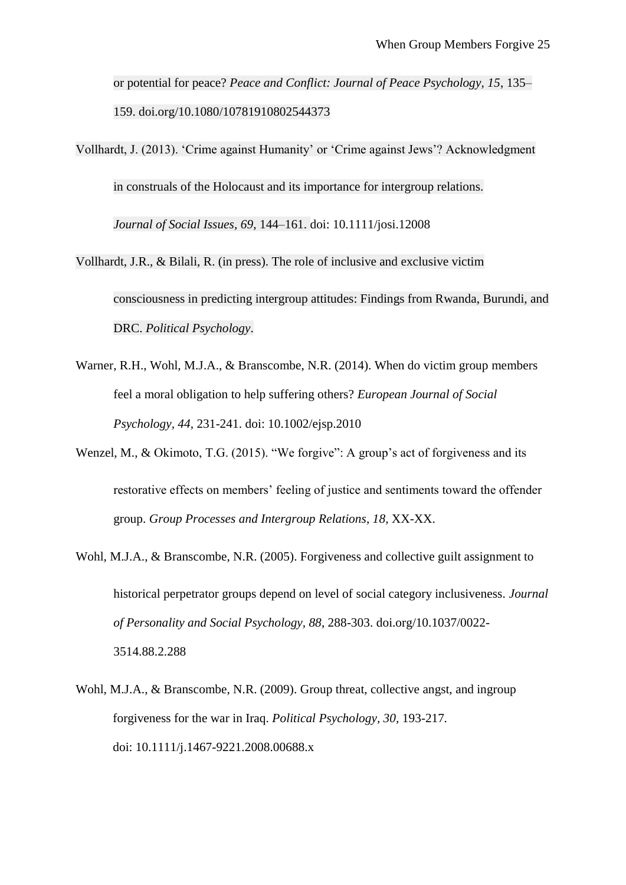or potential for peace? *Peace and Conflict: Journal of Peace Psychology, 15*, 135– 159. [doi.org/10.1080/10781910802544373](file:///C:/Users/T.Sayers/Downloads/doi.org/10.1080/10781910802544373)

Vollhardt, J. (2013). 'Crime against Humanity' or 'Crime against Jews'? Acknowledgment in construals of the Holocaust and its importance for intergroup relations. *Journal of Social Issues, 69*, 144–161. doi: 10.1111/josi.12008

Vollhardt, J.R., & Bilali, R. (in press). The role of inclusive and exclusive victim consciousness in predicting intergroup attitudes: Findings from Rwanda, Burundi, and DRC. *Political Psychology*.

- Warner, R.H., Wohl, M.J.A., & Branscombe, N.R. (2014). When do victim group members feel a moral obligation to help suffering others? *European Journal of Social Psychology, 44,* 231-241. doi: 10.1002/ejsp.2010
- Wenzel, M., & Okimoto, T.G. (2015). "We forgive": A group's act of forgiveness and its restorative effects on members' feeling of justice and sentiments toward the offender group. *Group Processes and Intergroup Relations, 18,* XX-XX.
- Wohl, M.J.A., & Branscombe, N.R. (2005). Forgiveness and collective guilt assignment to historical perpetrator groups depend on level of social category inclusiveness. *Journal of Personality and Social Psychology, 88*, 288-303. [doi.org/10.1037/0022-](http://psycnet.apa.org/doi/10.1037/0022-3514.88.2.288) [3514.88.2.288](http://psycnet.apa.org/doi/10.1037/0022-3514.88.2.288)
- Wohl, M.J.A., & Branscombe, N.R. (2009). Group threat, collective angst, and ingroup forgiveness for the war in Iraq. *Political Psychology, 30,* 193-217*.* doi: 10.1111/j.1467-9221.2008.00688.x